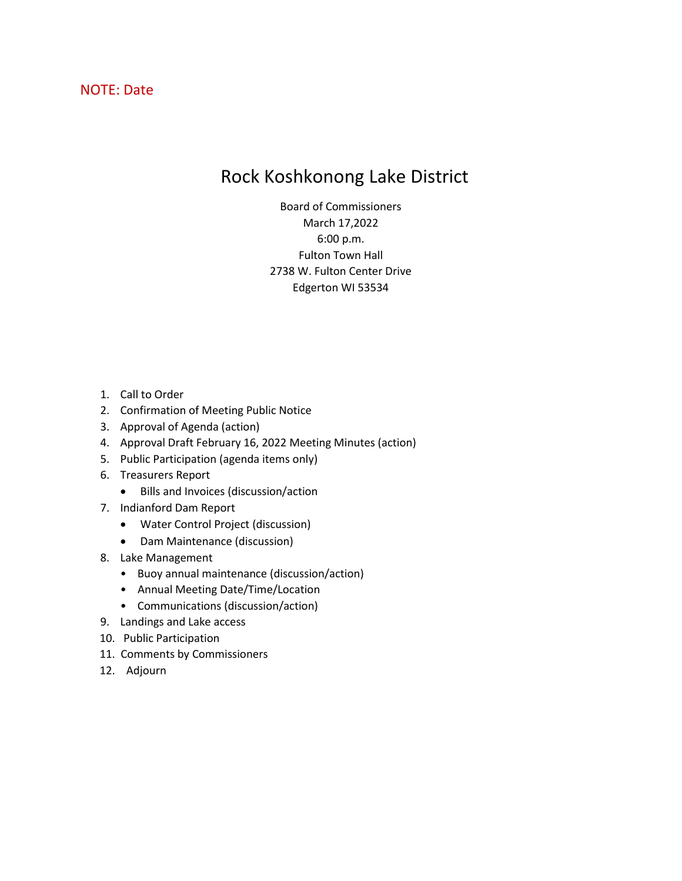# NOTE: Date

# Rock Koshkonong Lake District

Board of Commissioners March 17,2022 6:00 p.m. Fulton Town Hall 2738 W. Fulton Center Drive Edgerton WI 53534

- 1. Call to Order
- 2. Confirmation of Meeting Public Notice
- 3. Approval of Agenda (action)
- 4. Approval Draft February 16, 2022 Meeting Minutes (action)
- 5. Public Participation (agenda items only)
- 6. Treasurers Report
	- Bills and Invoices (discussion/action
- 7. Indianford Dam Report
	- Water Control Project (discussion)
	- Dam Maintenance (discussion)
- 8. Lake Management
	- Buoy annual maintenance (discussion/action)
	- Annual Meeting Date/Time/Location
	- Communications (discussion/action)
- 9. Landings and Lake access
- 10. Public Participation
- 11. Comments by Commissioners
- 12. Adjourn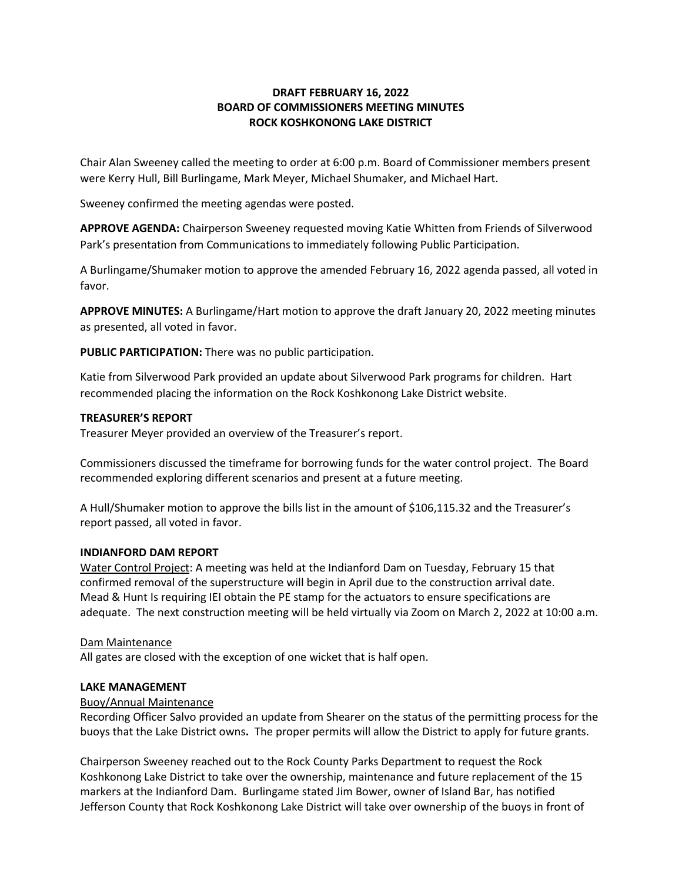## **DRAFT FEBRUARY 16, 2022 BOARD OF COMMISSIONERS MEETING MINUTES ROCK KOSHKONONG LAKE DISTRICT**

Chair Alan Sweeney called the meeting to order at 6:00 p.m. Board of Commissioner members present were Kerry Hull, Bill Burlingame, Mark Meyer, Michael Shumaker, and Michael Hart.

Sweeney confirmed the meeting agendas were posted.

**APPROVE AGENDA:** Chairperson Sweeney requested moving Katie Whitten from Friends of Silverwood Park's presentation from Communications to immediately following Public Participation.

A Burlingame/Shumaker motion to approve the amended February 16, 2022 agenda passed, all voted in favor.

**APPROVE MINUTES:** A Burlingame/Hart motion to approve the draft January 20, 2022 meeting minutes as presented, all voted in favor.

**PUBLIC PARTICIPATION:** There was no public participation.

Katie from Silverwood Park provided an update about Silverwood Park programs for children. Hart recommended placing the information on the Rock Koshkonong Lake District website.

#### **TREASURER'S REPORT**

Treasurer Meyer provided an overview of the Treasurer's report.

Commissioners discussed the timeframe for borrowing funds for the water control project. The Board recommended exploring different scenarios and present at a future meeting.

A Hull/Shumaker motion to approve the bills list in the amount of \$106,115.32 and the Treasurer's report passed, all voted in favor.

#### **INDIANFORD DAM REPORT**

Water Control Project: A meeting was held at the Indianford Dam on Tuesday, February 15 that confirmed removal of the superstructure will begin in April due to the construction arrival date. Mead & Hunt Is requiring IEI obtain the PE stamp for the actuators to ensure specifications are adequate. The next construction meeting will be held virtually via Zoom on March 2, 2022 at 10:00 a.m.

#### Dam Maintenance

All gates are closed with the exception of one wicket that is half open.

#### **LAKE MANAGEMENT**

#### Buoy/Annual Maintenance

Recording Officer Salvo provided an update from Shearer on the status of the permitting process for the buoys that the Lake District owns**.** The proper permits will allow the District to apply for future grants.

Chairperson Sweeney reached out to the Rock County Parks Department to request the Rock Koshkonong Lake District to take over the ownership, maintenance and future replacement of the 15 markers at the Indianford Dam. Burlingame stated Jim Bower, owner of Island Bar, has notified Jefferson County that Rock Koshkonong Lake District will take over ownership of the buoys in front of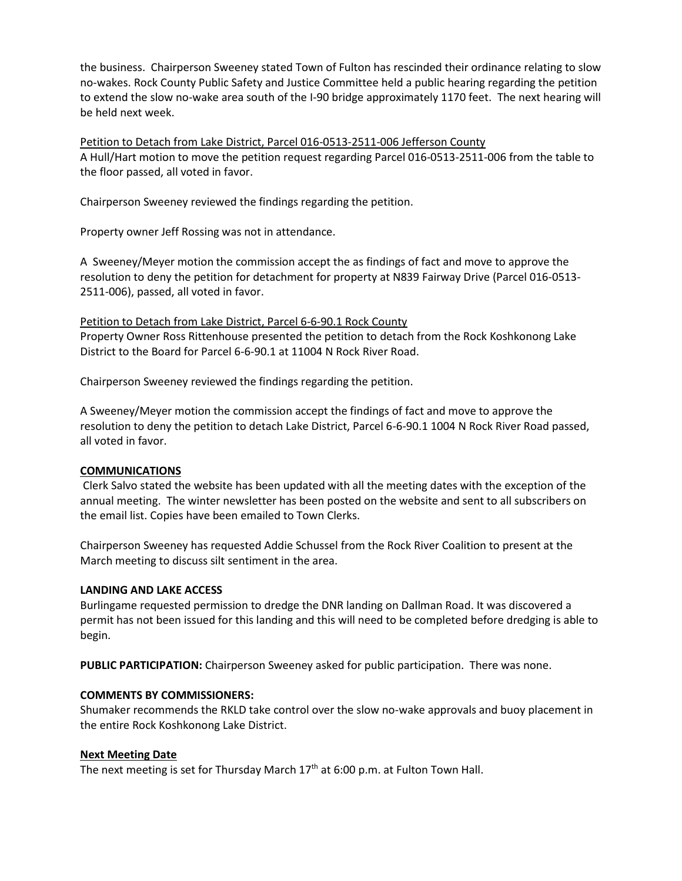the business. Chairperson Sweeney stated Town of Fulton has rescinded their ordinance relating to slow no-wakes. Rock County Public Safety and Justice Committee held a public hearing regarding the petition to extend the slow no-wake area south of the I-90 bridge approximately 1170 feet. The next hearing will be held next week.

Petition to Detach from Lake District, Parcel 016-0513-2511-006 Jefferson County A Hull/Hart motion to move the petition request regarding Parcel 016-0513-2511-006 from the table to the floor passed, all voted in favor.

Chairperson Sweeney reviewed the findings regarding the petition.

Property owner Jeff Rossing was not in attendance.

A Sweeney/Meyer motion the commission accept the as findings of fact and move to approve the resolution to deny the petition for detachment for property at N839 Fairway Drive (Parcel 016-0513- 2511-006), passed, all voted in favor.

Petition to Detach from Lake District, Parcel 6-6-90.1 Rock County Property Owner Ross Rittenhouse presented the petition to detach from the Rock Koshkonong Lake District to the Board for Parcel 6-6-90.1 at 11004 N Rock River Road.

Chairperson Sweeney reviewed the findings regarding the petition.

A Sweeney/Meyer motion the commission accept the findings of fact and move to approve the resolution to deny the petition to detach Lake District, Parcel 6-6-90.1 1004 N Rock River Road passed, all voted in favor.

#### **COMMUNICATIONS**

Clerk Salvo stated the website has been updated with all the meeting dates with the exception of the annual meeting. The winter newsletter has been posted on the website and sent to all subscribers on the email list. Copies have been emailed to Town Clerks.

Chairperson Sweeney has requested Addie Schussel from the Rock River Coalition to present at the March meeting to discuss silt sentiment in the area.

#### **LANDING AND LAKE ACCESS**

Burlingame requested permission to dredge the DNR landing on Dallman Road. It was discovered a permit has not been issued for this landing and this will need to be completed before dredging is able to begin.

**PUBLIC PARTICIPATION:** Chairperson Sweeney asked for public participation. There was none.

#### **COMMENTS BY COMMISSIONERS:**

Shumaker recommends the RKLD take control over the slow no-wake approvals and buoy placement in the entire Rock Koshkonong Lake District.

#### **Next Meeting Date**

The next meeting is set for Thursday March  $17<sup>th</sup>$  at 6:00 p.m. at Fulton Town Hall.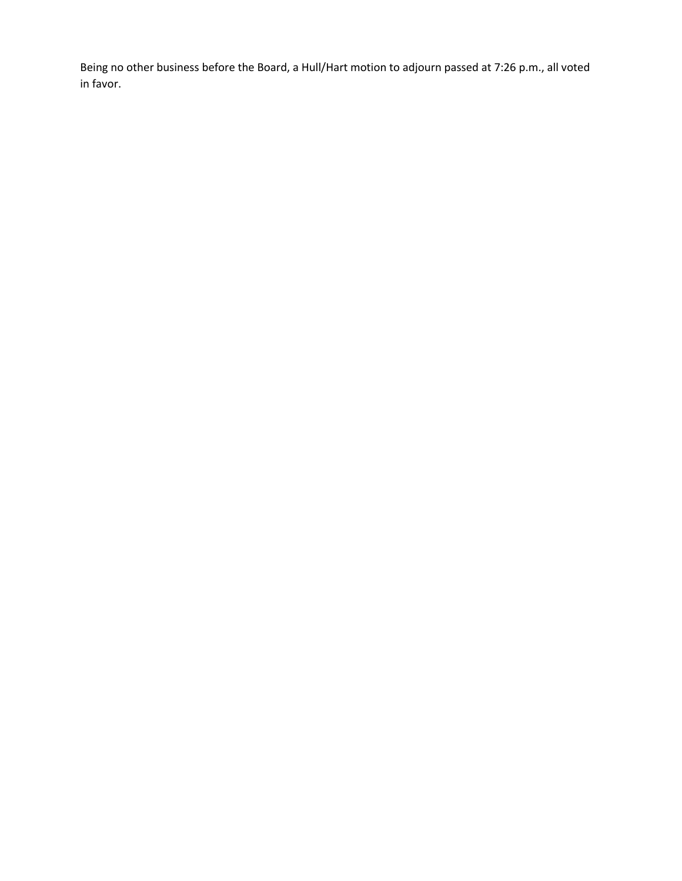Being no other business before the Board, a Hull/Hart motion to adjourn passed at 7:26 p.m., all voted in favor.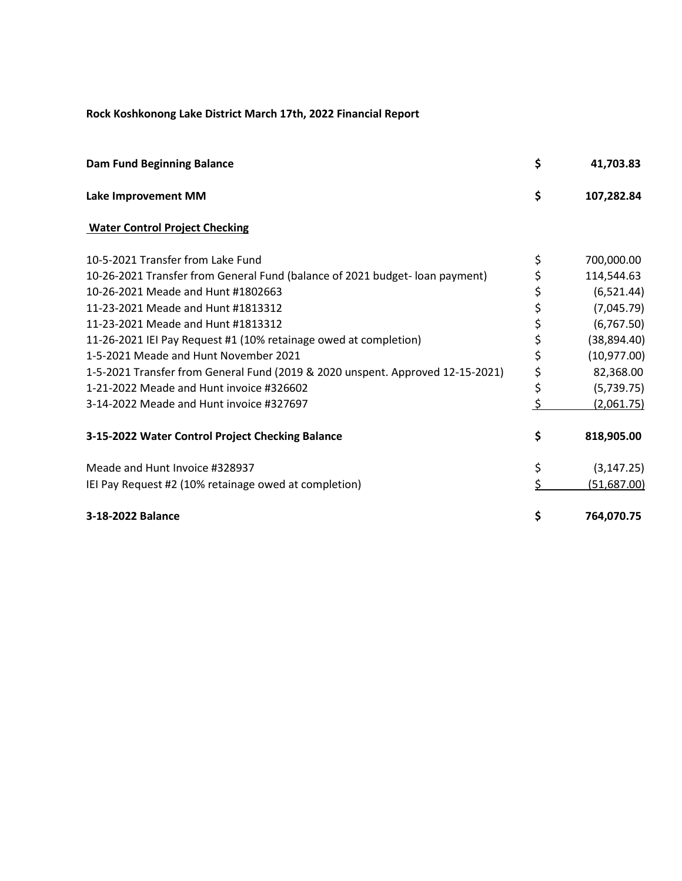# **Rock Koshkonong Lake District March 17th, 2022 Financial Report**

| <b>Dam Fund Beginning Balance</b>                                              | \$ | 41,703.83          |
|--------------------------------------------------------------------------------|----|--------------------|
| Lake Improvement MM                                                            | \$ | 107,282.84         |
| <b>Water Control Project Checking</b>                                          |    |                    |
| 10-5-2021 Transfer from Lake Fund                                              | \$ | 700,000.00         |
| 10-26-2021 Transfer from General Fund (balance of 2021 budget-loan payment)    | \$ | 114,544.63         |
| 10-26-2021 Meade and Hunt #1802663                                             | \$ | (6, 521.44)        |
| 11-23-2021 Meade and Hunt #1813312                                             | \$ | (7,045.79)         |
| 11-23-2021 Meade and Hunt #1813312                                             | \$ | (6, 767.50)        |
| 11-26-2021 IEI Pay Request #1 (10% retainage owed at completion)               | \$ | (38, 894.40)       |
| 1-5-2021 Meade and Hunt November 2021                                          | \$ | (10, 977.00)       |
| 1-5-2021 Transfer from General Fund (2019 & 2020 unspent. Approved 12-15-2021) | \$ | 82,368.00          |
| 1-21-2022 Meade and Hunt invoice #326602                                       | \$ | (5,739.75)         |
| 3-14-2022 Meade and Hunt invoice #327697                                       | \$ | (2,061.75)         |
| 3-15-2022 Water Control Project Checking Balance                               | \$ | 818,905.00         |
| Meade and Hunt Invoice #328937                                                 | \$ | (3, 147.25)        |
| IEI Pay Request #2 (10% retainage owed at completion)                          | Ś  | <u>(51,687.00)</u> |
| 3-18-2022 Balance                                                              | \$ | 764,070.75         |